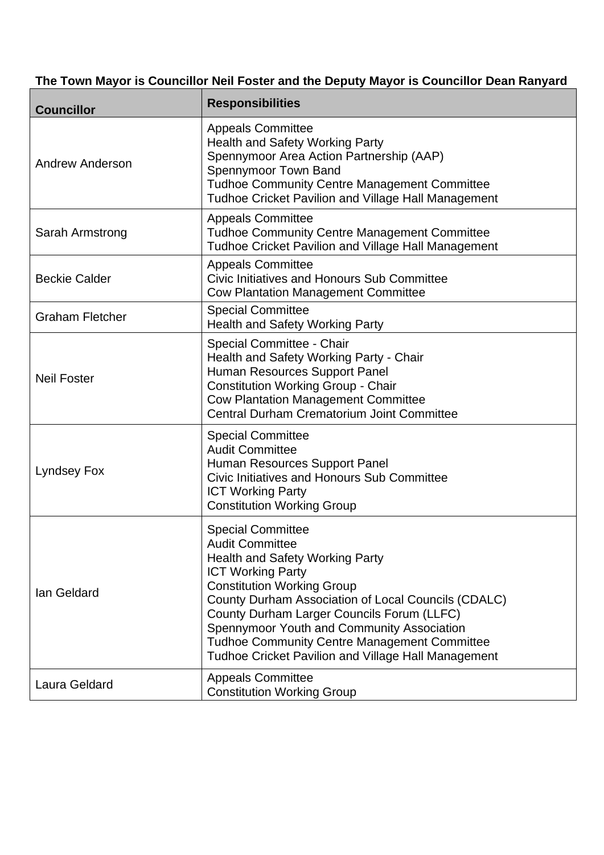## **The Town Mayor is Councillor Neil Foster and the Deputy Mayor is Councillor Dean Ranyard**

| <b>Councillor</b>      | <b>Responsibilities</b>                                                                                                                                                                                                                                                                                                                                                                                                               |
|------------------------|---------------------------------------------------------------------------------------------------------------------------------------------------------------------------------------------------------------------------------------------------------------------------------------------------------------------------------------------------------------------------------------------------------------------------------------|
| <b>Andrew Anderson</b> | <b>Appeals Committee</b><br><b>Health and Safety Working Party</b><br>Spennymoor Area Action Partnership (AAP)<br>Spennymoor Town Band<br><b>Tudhoe Community Centre Management Committee</b><br><b>Tudhoe Cricket Pavilion and Village Hall Management</b>                                                                                                                                                                           |
| Sarah Armstrong        | <b>Appeals Committee</b><br><b>Tudhoe Community Centre Management Committee</b><br><b>Tudhoe Cricket Pavilion and Village Hall Management</b>                                                                                                                                                                                                                                                                                         |
| <b>Beckie Calder</b>   | <b>Appeals Committee</b><br><b>Civic Initiatives and Honours Sub Committee</b><br><b>Cow Plantation Management Committee</b>                                                                                                                                                                                                                                                                                                          |
| <b>Graham Fletcher</b> | <b>Special Committee</b><br><b>Health and Safety Working Party</b>                                                                                                                                                                                                                                                                                                                                                                    |
| <b>Neil Foster</b>     | Special Committee - Chair<br>Health and Safety Working Party - Chair<br>Human Resources Support Panel<br><b>Constitution Working Group - Chair</b><br><b>Cow Plantation Management Committee</b><br><b>Central Durham Crematorium Joint Committee</b>                                                                                                                                                                                 |
| <b>Lyndsey Fox</b>     | <b>Special Committee</b><br><b>Audit Committee</b><br>Human Resources Support Panel<br>Civic Initiatives and Honours Sub Committee<br><b>ICT Working Party</b><br><b>Constitution Working Group</b>                                                                                                                                                                                                                                   |
| Ian Geldard            | <b>Special Committee</b><br><b>Audit Committee</b><br><b>Health and Safety Working Party</b><br><b>ICT Working Party</b><br><b>Constitution Working Group</b><br>County Durham Association of Local Councils (CDALC)<br>County Durham Larger Councils Forum (LLFC)<br>Spennymoor Youth and Community Association<br><b>Tudhoe Community Centre Management Committee</b><br><b>Tudhoe Cricket Pavilion and Village Hall Management</b> |
| Laura Geldard          | <b>Appeals Committee</b><br><b>Constitution Working Group</b>                                                                                                                                                                                                                                                                                                                                                                         |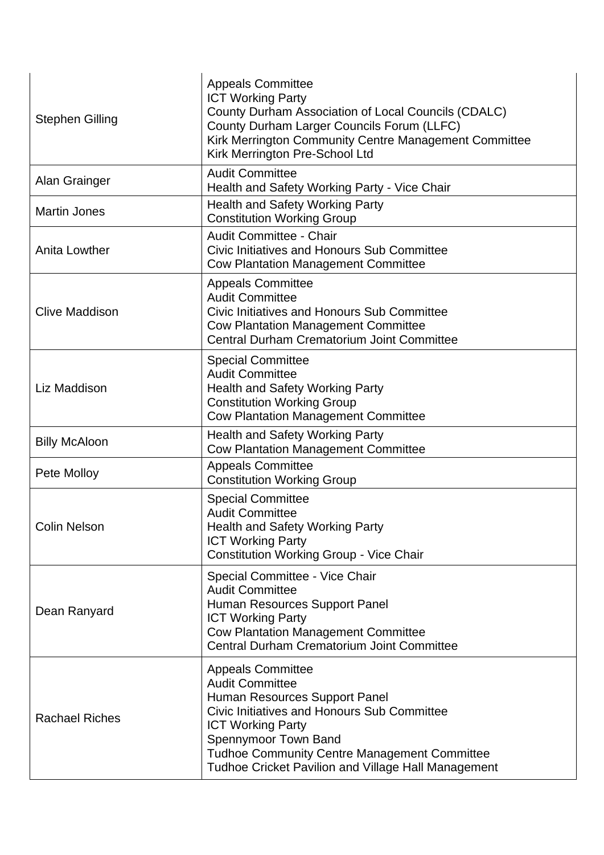| <b>Stephen Gilling</b> | <b>Appeals Committee</b><br><b>ICT Working Party</b><br>County Durham Association of Local Councils (CDALC)<br>County Durham Larger Councils Forum (LLFC)<br>Kirk Merrington Community Centre Management Committee<br>Kirk Merrington Pre-School Ltd                                                        |
|------------------------|-------------------------------------------------------------------------------------------------------------------------------------------------------------------------------------------------------------------------------------------------------------------------------------------------------------|
| Alan Grainger          | <b>Audit Committee</b><br>Health and Safety Working Party - Vice Chair                                                                                                                                                                                                                                      |
| <b>Martin Jones</b>    | <b>Health and Safety Working Party</b><br><b>Constitution Working Group</b>                                                                                                                                                                                                                                 |
| <b>Anita Lowther</b>   | <b>Audit Committee - Chair</b><br>Civic Initiatives and Honours Sub Committee<br><b>Cow Plantation Management Committee</b>                                                                                                                                                                                 |
| <b>Clive Maddison</b>  | <b>Appeals Committee</b><br><b>Audit Committee</b><br>Civic Initiatives and Honours Sub Committee<br><b>Cow Plantation Management Committee</b><br><b>Central Durham Crematorium Joint Committee</b>                                                                                                        |
| Liz Maddison           | <b>Special Committee</b><br><b>Audit Committee</b><br><b>Health and Safety Working Party</b><br><b>Constitution Working Group</b><br><b>Cow Plantation Management Committee</b>                                                                                                                             |
| <b>Billy McAloon</b>   | <b>Health and Safety Working Party</b><br><b>Cow Plantation Management Committee</b>                                                                                                                                                                                                                        |
| Pete Molloy            | <b>Appeals Committee</b><br><b>Constitution Working Group</b>                                                                                                                                                                                                                                               |
| <b>Colin Nelson</b>    | <b>Special Committee</b><br><b>Audit Committee</b><br><b>Health and Safety Working Party</b><br><b>ICT Working Party</b><br><b>Constitution Working Group - Vice Chair</b>                                                                                                                                  |
| Dean Ranyard           | Special Committee - Vice Chair<br><b>Audit Committee</b><br>Human Resources Support Panel<br><b>ICT Working Party</b><br><b>Cow Plantation Management Committee</b><br><b>Central Durham Crematorium Joint Committee</b>                                                                                    |
| <b>Rachael Riches</b>  | <b>Appeals Committee</b><br><b>Audit Committee</b><br>Human Resources Support Panel<br><b>Civic Initiatives and Honours Sub Committee</b><br><b>ICT Working Party</b><br>Spennymoor Town Band<br>Tudhoe Community Centre Management Committee<br><b>Tudhoe Cricket Pavilion and Village Hall Management</b> |